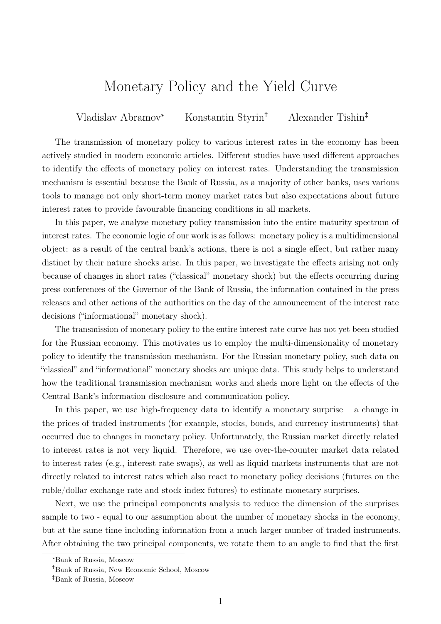## Monetary Policy and the Yield Curve

Vladislav Abramov<sup>\*</sup> Konstantin Styrin<sup>†</sup> Alexander Tishin<sup>‡</sup>

The transmission of monetary policy to various interest rates in the economy has been actively studied in modern economic articles. Different studies have used different approaches to identify the effects of monetary policy on interest rates. Understanding the transmission mechanism is essential because the Bank of Russia, as a majority of other banks, uses various tools to manage not only short-term money market rates but also expectations about future interest rates to provide favourable financing conditions in all markets.

In this paper, we analyze monetary policy transmission into the entire maturity spectrum of interest rates. The economic logic of our work is as follows: monetary policy is a multidimensional object: as a result of the central bank's actions, there is not a single effect, but rather many distinct by their nature shocks arise. In this paper, we investigate the effects arising not only because of changes in short rates ("classical" monetary shock) but the effects occurring during press conferences of the Governor of the Bank of Russia, the information contained in the press releases and other actions of the authorities on the day of the announcement of the interest rate decisions ("informational" monetary shock).

The transmission of monetary policy to the entire interest rate curve has not yet been studied for the Russian economy. This motivates us to employ the multi-dimensionality of monetary policy to identify the transmission mechanism. For the Russian monetary policy, such data on "classical" and "informational" monetary shocks are unique data. This study helps to understand how the traditional transmission mechanism works and sheds more light on the effects of the Central Bank's information disclosure and communication policy.

In this paper, we use high-frequency data to identify a monetary surprise  $-$  a change in the prices of traded instruments (for example, stocks, bonds, and currency instruments) that occurred due to changes in monetary policy. Unfortunately, the Russian market directly related to interest rates is not very liquid. Therefore, we use over-the-counter market data related to interest rates (e.g., interest rate swaps), as well as liquid markets instruments that are not directly related to interest rates which also react to monetary policy decisions (futures on the ruble/dollar exchange rate and stock index futures) to estimate monetary surprises.

Next, we use the principal components analysis to reduce the dimension of the surprises sample to two - equal to our assumption about the number of monetary shocks in the economy, but at the same time including information from a much larger number of traded instruments. After obtaining the two principal components, we rotate them to an angle to find that the first

<sup>\*</sup>Bank of Russia, Moscow

<sup>†</sup>Bank of Russia, New Economic School, Moscow

<sup>‡</sup>Bank of Russia, Moscow